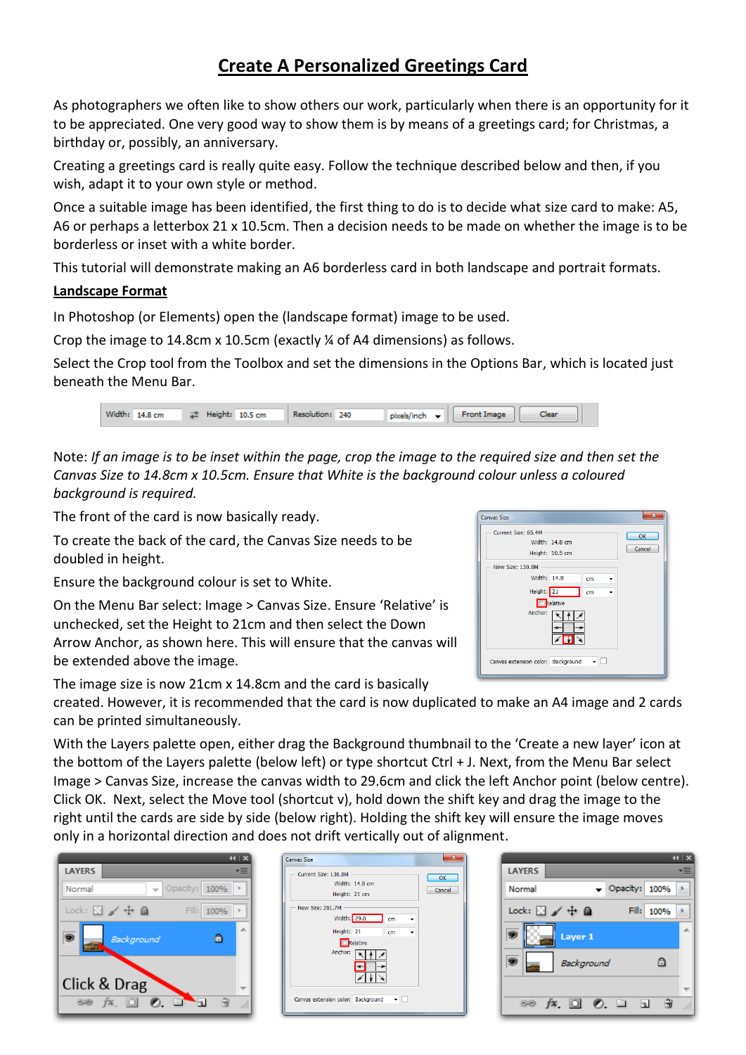# **Create A Personalized Greetings Card**

As photographers we often like to show others our work, particularly when there is an opportunity for it to be appreciated. One very good way to show them is by means of a greetings card; for Christmas, a birthday or, possibly, an anniversary.

Creating a greetings card is really quite easy. Follow the technique described below and then, if you wish, adapt it to your own style or method.

Once a suitable image has been identified, the first thing to do is to decide what size card to make: A5, A6 or perhaps a letterbox 21 x 10.5cm. Then a decision needs to be made on whether the image is to be borderless or inset with a white border.

This tutorial will demonstrate making an A6 borderless card in both landscape and portrait formats.

## **Landscape Format**

In Photoshop (or Elements) open the (landscape format) image to be used.

Crop the image to 14.8cm x 10.5cm (exactly ¼ of A4 dimensions) as follows.

Select the Crop tool from the Toolbox and set the dimensions in the Options Bar, which is located just beneath the Menu Bar.

|  |  | Width: 14.8 cm = $\neq$ Height: 10.5 cm = Resolution: 240 |  |  | pixels/inch = Front Image   Clear |  |  |
|--|--|-----------------------------------------------------------|--|--|-----------------------------------|--|--|
|  |  |                                                           |  |  |                                   |  |  |

Note: *If an image is to be inset within the page, crop the image to the required size and then set the Canvas Size to 14.8cm x 10.5cm. Ensure that White is the background colour unless a coloured background is required.*

The front of the card is now basically ready.

To create the back of the card, the Canvas Size needs to be doubled in height.

Ensure the background colour is set to White.

On the Menu Bar select: Image > Canvas Size. Ensure 'Relative' is unchecked, set the Height to 21cm and then select the Down Arrow Anchor, as shown here. This will ensure that the canvas will be extended above the image.

The image size is now 21cm x 14.8cm and the card is basically

| <b>Canvas Size</b>                 | $\overline{\mathbf{x}}$   |
|------------------------------------|---------------------------|
| Current Size: 65.4M                | OK                        |
|                                    | Width: 14.8 cm            |
|                                    | Cancel<br>Height: 10.5 cm |
| New Size: 130.8M                   |                           |
| Width: 14.8                        | cm                        |
| Height: 21                         | cm                        |
|                                    | Relative                  |
| Anchor:                            |                           |
| Canvas extension color: Background | ▾⊪                        |

created. However, it is recommended that the card is now duplicated to make an A4 image and 2 cards can be printed simultaneously.

With the Layers palette open, either drag the Background thumbnail to the 'Create a new layer' icon at the bottom of the Layers palette (below left) or type shortcut Ctrl + J. Next, from the Menu Bar select Image > Canvas Size, increase the canvas width to 29.6cm and click the left Anchor point (below centre). Click OK. Next, select the Move tool (shortcut v), hold down the shift key and drag the image to the right until the cards are side by side (below right). Holding the shift key will ensure the image moves only in a horizontal direction and does not drift vertically out of alignment.



| <b>Canvas Size</b>                                                                                |                                                        |
|---------------------------------------------------------------------------------------------------|--------------------------------------------------------|
| Current Size: 130.8M<br>Height: 21 cm<br>New Size: 261.7M<br>Width: 29.6<br>Height: 21<br>Anchor: | OK<br>Width: 14.8 cm<br>Cancel<br>cm<br>cm<br>Relative |
| Canvas extension color: Background                                                                |                                                        |

|                                                        | $44$ $x$ |
|--------------------------------------------------------|----------|
| <b>LAYERS</b>                                          |          |
| $\blacktriangledown$ Opacity: $100\%$<br>Normal        |          |
| Lock: $\Box \nearrow \div \triangleq$<br>Fill:<br>100% |          |
| Layer 1                                                |          |
| Background<br>A                                        |          |
|                                                        |          |
| $f$ <b>x</b> , $\Box$ $\odot$ , $\Box$<br>œ<br>b.      |          |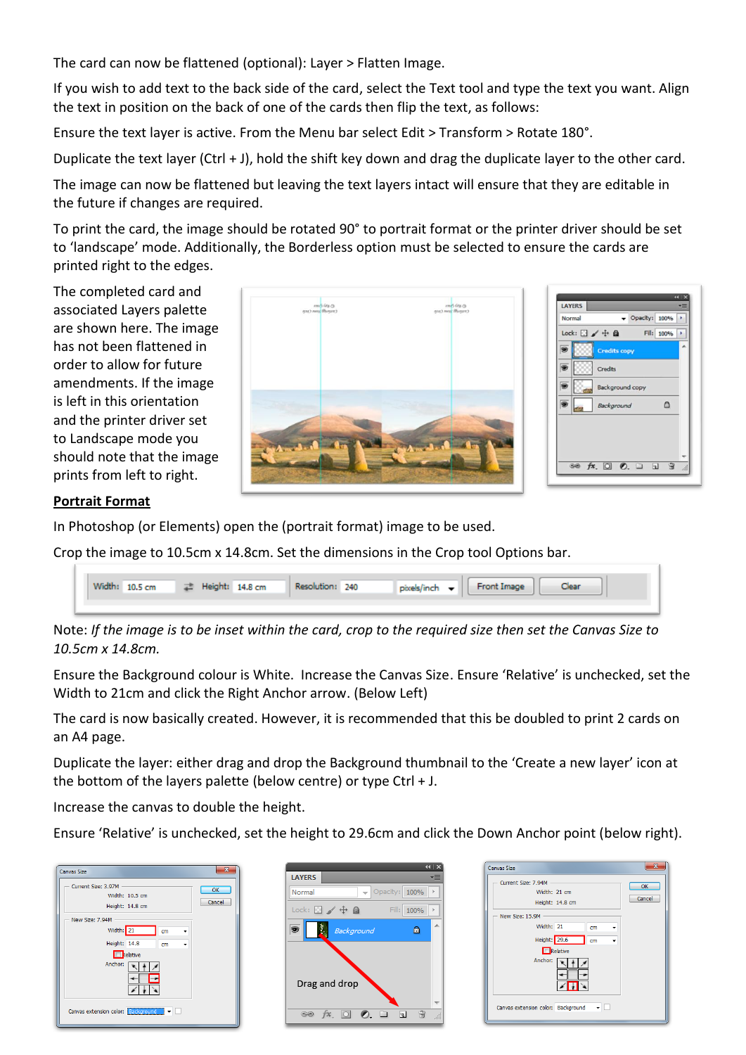The card can now be flattened (optional): Layer > Flatten Image.

If you wish to add text to the back side of the card, select the Text tool and type the text you want. Align the text in position on the back of one of the cards then flip the text, as follows:

Ensure the text layer is active. From the Menu bar select Edit > Transform > Rotate 180°.

Duplicate the text layer (Ctrl + J), hold the shift key down and drag the duplicate layer to the other card.

The image can now be flattened but leaving the text layers intact will ensure that they are editable in the future if changes are required.

To print the card, the image should be rotated 90° to portrait format or the printer driver should be set to 'landscape' mode. Additionally, the Borderless option must be selected to ensure the cards are printed right to the edges.

The completed card and associated Layers palette are shown here. The image has not been flattened in order to allow for future amendments. If the image is left in this orientation and the printer driver set to Landscape mode you should note that the image prints from left to right.



#### **Portrait Format**

In Photoshop (or Elements) open the (portrait format) image to be used.

Crop the image to 10.5cm x 14.8cm. Set the dimensions in the Crop tool Options bar.



Note: *If the image is to be inset within the card, crop to the required size then set the Canvas Size to 10.5cm x 14.8cm.*

Ensure the Background colour is White. Increase the Canvas Size. Ensure 'Relative' is unchecked, set the Width to 21cm and click the Right Anchor arrow. (Below Left)

The card is now basically created. However, it is recommended that this be doubled to print 2 cards on an A4 page.

Duplicate the layer: either drag and drop the Background thumbnail to the 'Create a new layer' icon at the bottom of the layers palette (below centre) or type Ctrl  $+$  J.

Increase the canvas to double the height.

Ensure 'Relative' is unchecked, set the height to 29.6cm and click the Down Anchor point (below right).

| <b>Canvas Size</b>                   |                 |    | $\overline{\mathbf{x}}$ |
|--------------------------------------|-----------------|----|-------------------------|
| Current Size: 3.97M                  |                 |    | OK                      |
|                                      | Width: 10.5 cm  |    |                         |
|                                      | Height: 14.8 cm |    | Cancel                  |
| New Size: 7.94M                      |                 |    |                         |
|                                      | Width: 21       | cm |                         |
|                                      | Height: 14.8    | cm |                         |
|                                      | Relative        |    |                         |
|                                      | Anchor:         |    |                         |
| Canvas extension color: Background v |                 |    |                         |

| <b>LAYERS</b>                     |            |                              |
|-----------------------------------|------------|------------------------------|
| Normal                            |            | Opacity: 100%<br>$\vert \nu$ |
| Lock: $\Box \nearrow \oplus \Box$ |            | Fill: 100%                   |
|                                   | Background | ۰                            |
| Drag and drop                     |            |                              |

| Current Size: 7.94M |                                    | OK     |
|---------------------|------------------------------------|--------|
|                     | Width: 21 cm                       |        |
|                     | Height: 14.8 cm                    | Cancel |
| New Size: 15.9M     |                                    |        |
|                     | Width: 21<br>cm                    |        |
|                     | Height: 29.6<br>cm                 |        |
|                     | Relative                           |        |
|                     | Anchor:                            |        |
|                     | Canvas extension color: Background | ▾┌     |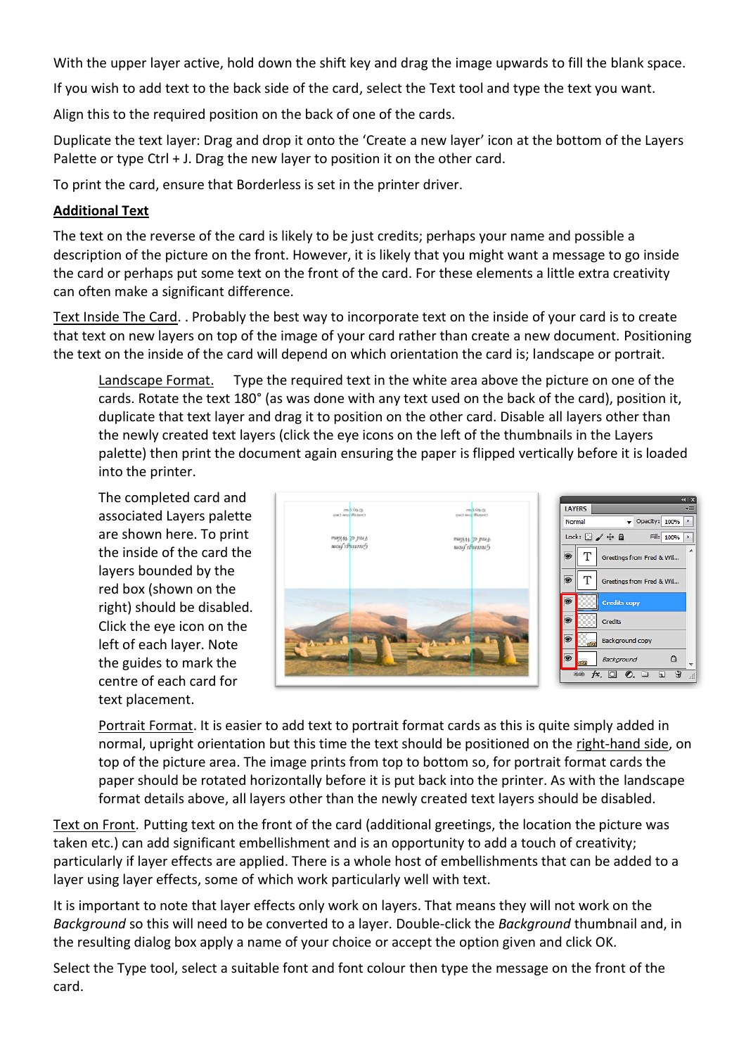With the upper layer active, hold down the shift key and drag the image upwards to fill the blank space.

If you wish to add text to the back side of the card, select the Text tool and type the text you want.

Align this to the required position on the back of one of the cards.

Duplicate the text layer: Drag and drop it onto the 'Create a new layer' icon at the bottom of the Layers Palette or type Ctrl + J. Drag the new layer to position it on the other card.

To print the card, ensure that Borderless is set in the printer driver.

### **Additional Text**

The text on the reverse of the card is likely to be just credits; perhaps your name and possible a description of the picture on the front. However, it is likely that you might want a message to go inside the card or perhaps put some text on the front of the card. For these elements a little extra creativity can often make a significant difference.

Text Inside The Card. . Probably the best way to incorporate text on the inside of your card is to create that text on new layers on top of the image of your card rather than create a new document. Positioning the text on the inside of the card will depend on which orientation the card is; landscape or portrait.

Landscape Format. Type the required text in the white area above the picture on one of the cards. Rotate the text 180° (as was done with any text used on the back of the card), position it, duplicate that text layer and drag it to position on the other card. Disable all layers other than the newly created text layers (click the eye icons on the left of the thumbnails in the Layers palette) then print the document again ensuring the paper is flipped vertically before it is loaded into the printer.

The completed card and associated Layers palette are shown here. To print the inside of the card the layers bounded by the red box (shown on the right) should be disabled. Click the eye icon on the left of each layer. Note the guides to mark the centre of each card for text placement.



Portrait Format. It is easier to add text to portrait format cards as this is quite simply added in normal, upright orientation but this time the text should be positioned on the right-hand side, on top of the picture area. The image prints from top to bottom so, for portrait format cards the paper should be rotated horizontally before it is put back into the printer. As with the landscape format details above, all layers other than the newly created text layers should be disabled.

Text on Front. Putting text on the front of the card (additional greetings, the location the picture was taken etc.) can add significant embellishment and is an opportunity to add a touch of creativity; particularly if layer effects are applied. There is a whole host of embellishments that can be added to a layer using layer effects, some of which work particularly well with text.

It is important to note that layer effects only work on layers. That means they will not work on the *Background* so this will need to be converted to a layer. Double-click the *Background* thumbnail and, in the resulting dialog box apply a name of your choice or accept the option given and click OK.

Select the Type tool, select a suitable font and font colour then type the message on the front of the card.